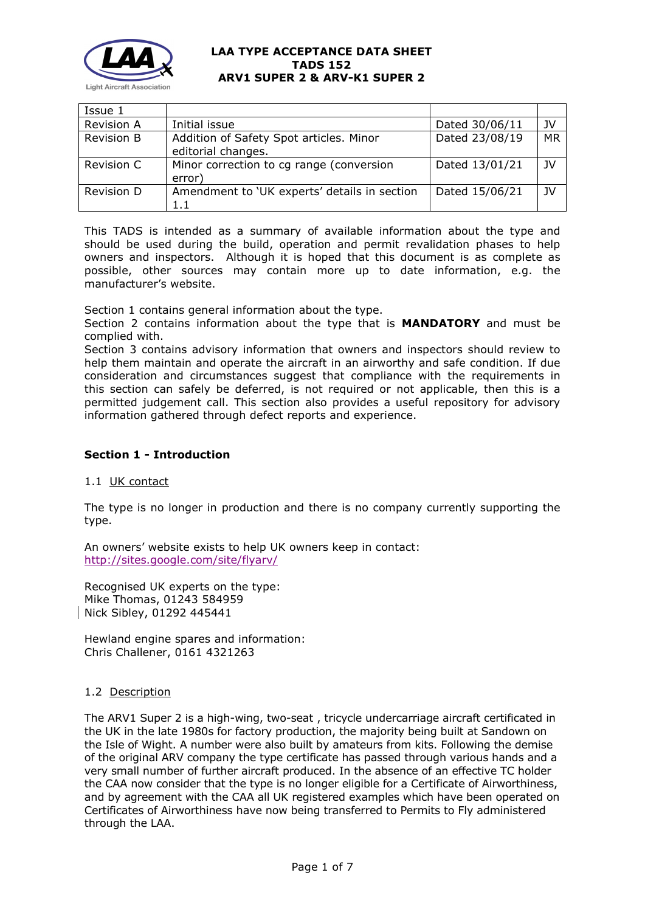

| Issue 1           |                                                               |                |           |
|-------------------|---------------------------------------------------------------|----------------|-----------|
| <b>Revision A</b> | Initial issue                                                 | Dated 30/06/11 | JV        |
| Revision B        | Addition of Safety Spot articles. Minor<br>editorial changes. | Dated 23/08/19 | <b>MR</b> |
| Revision C        | Minor correction to cg range (conversion<br>error)            | Dated 13/01/21 | JV        |
| Revision D        | Amendment to 'UK experts' details in section<br>1.1           | Dated 15/06/21 | 1V        |

This TADS is intended as a summary of available information about the type and should be used during the build, operation and permit revalidation phases to help owners and inspectors. Although it is hoped that this document is as complete as possible, other sources may contain more up to date information, e.g. the manufacturer's website.

Section 1 contains general information about the type.

Section 2 contains information about the type that is **MANDATORY** and must be complied with.

Section 3 contains advisory information that owners and inspectors should review to help them maintain and operate the aircraft in an airworthy and safe condition. If due consideration and circumstances suggest that compliance with the requirements in this section can safely be deferred, is not required or not applicable, then this is a permitted judgement call. This section also provides a useful repository for advisory information gathered through defect reports and experience.

# **Section 1 - Introduction**

## 1.1 UK contact

The type is no longer in production and there is no company currently supporting the type.

An owners' website exists to help UK owners keep in contact: <http://sites.google.com/site/flyarv/>

Recognised UK experts on the type: Mike Thomas, 01243 584959 Nick Sibley, 01292 445441

Hewland engine spares and information: Chris Challener, 0161 4321263

## 1.2 Description

The ARV1 Super 2 is a high-wing, two-seat , tricycle undercarriage aircraft certificated in the UK in the late 1980s for factory production, the majority being built at Sandown on the Isle of Wight. A number were also built by amateurs from kits. Following the demise of the original ARV company the type certificate has passed through various hands and a very small number of further aircraft produced. In the absence of an effective TC holder the CAA now consider that the type is no longer eligible for a Certificate of Airworthiness, and by agreement with the CAA all UK registered examples which have been operated on Certificates of Airworthiness have now being transferred to Permits to Fly administered through the LAA.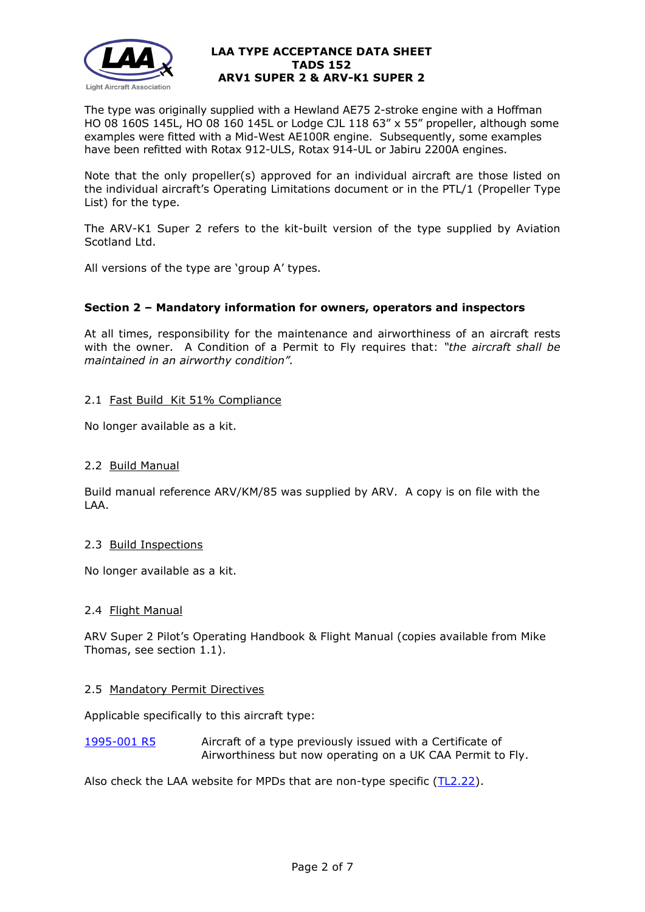

The type was originally supplied with a Hewland AE75 2-stroke engine with a Hoffman HO 08 160S 145L, HO 08 160 145L or Lodge CJL 118 63" x 55" propeller, although some examples were fitted with a Mid-West AE100R engine. Subsequently, some examples have been refitted with Rotax 912-ULS, Rotax 914-UL or Jabiru 2200A engines.

Note that the only propeller(s) approved for an individual aircraft are those listed on the individual aircraft's Operating Limitations document or in the PTL/1 (Propeller Type List) for the type.

The ARV-K1 Super 2 refers to the kit-built version of the type supplied by Aviation Scotland Ltd.

All versions of the type are 'group A' types.

## **Section 2 – Mandatory information for owners, operators and inspectors**

At all times, responsibility for the maintenance and airworthiness of an aircraft rests with the owner. A Condition of a Permit to Fly requires that: *"the aircraft shall be maintained in an airworthy condition".* 

## 2.1 Fast Build Kit 51% Compliance

No longer available as a kit.

## 2.2 Build Manual

Build manual reference ARV/KM/85 was supplied by ARV. A copy is on file with the LAA.

## 2.3 Build Inspections

No longer available as a kit.

## 2.4 Flight Manual

ARV Super 2 Pilot's Operating Handbook & Flight Manual (copies available from Mike Thomas, see section 1.1).

## 2.5 Mandatory Permit Directives

Applicable specifically to this aircraft type:

[1995-001 R5](http://www.lightaircraftassociation.co.uk/engineering/TADs/152/mpf1995-001r5.pdf) Aircraft of a type previously issued with a Certificate of Airworthiness but now operating on a UK CAA Permit to Fly.

Also check the LAA website for MPDs that are non-type specific [\(TL2.22\)](http://www.lightaircraftassociation.co.uk/engineering/TechnicalLeaflets/Operating%20An%20Aircraft/TL%202.22%20non-type%20specific%20MPDs.pdf).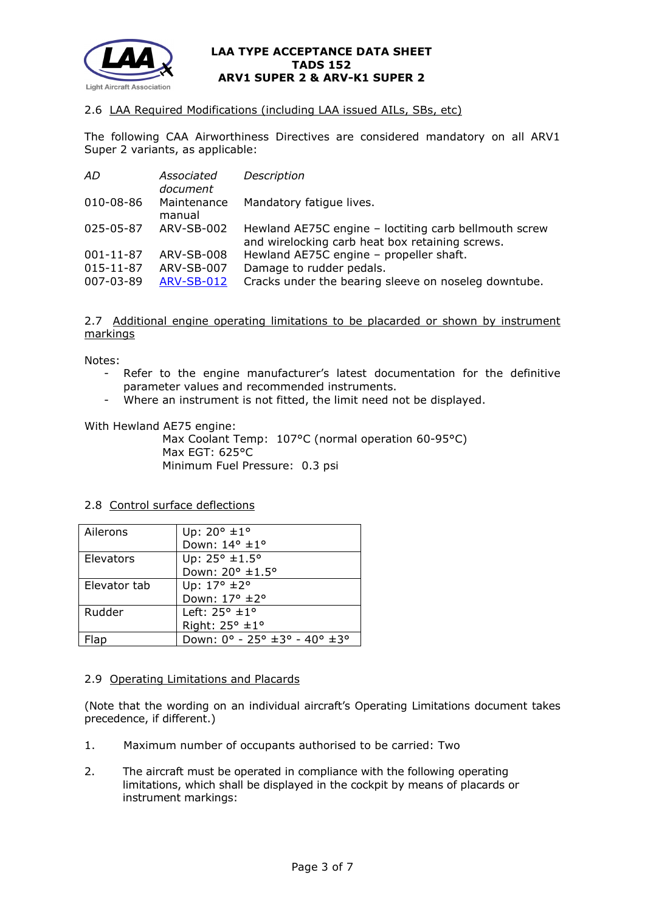

## 2.6 LAA Required Modifications (including LAA issued AILs, SBs, etc)

The following CAA Airworthiness Directives are considered mandatory on all ARV1 Super 2 variants, as applicable:

| AD.             | Associated<br>document | Description                                                                                              |
|-----------------|------------------------|----------------------------------------------------------------------------------------------------------|
| 010-08-86       | Maintenance<br>manual  | Mandatory fatique lives.                                                                                 |
| 025-05-87       | ARV-SB-002             | Hewland AE75C engine - loctiting carb bellmouth screw<br>and wirelocking carb heat box retaining screws. |
| $001 - 11 - 87$ | ARV-SB-008             | Hewland AE75C engine - propeller shaft.                                                                  |
| 015-11-87       | ARV-SB-007             | Damage to rudder pedals.                                                                                 |
| 007-03-89       | <b>ARV-SB-012</b>      | Cracks under the bearing sleeve on noseleg downtube.                                                     |

## 2.7 Additional engine operating limitations to be placarded or shown by instrument markings

Notes:

- Refer to the engine manufacturer's latest documentation for the definitive parameter values and recommended instruments.
- Where an instrument is not fitted, the limit need not be displayed.

With Hewland AE75 engine:

Max Coolant Temp: 107°C (normal operation 60-95°C) Max EGT: 625°C Minimum Fuel Pressure: 0.3 psi

## 2.8 Control surface deflections

| Ailerons     | Up: $20^{\circ}$ ±1°          |
|--------------|-------------------------------|
|              | Down: 14° ±1°                 |
| Elevators    | Up: 25° ±1.5°                 |
|              | Down: 20° ±1.5°               |
| Elevator tab | Up: $17^{\circ}$ ±2°          |
|              | Down: 17° ±2°                 |
| Rudder       | Left: $25^\circ \pm 1^\circ$  |
|              | Right: $25^\circ \pm 1^\circ$ |
|              | Down: 0° - 25° ±3° - 40° ±3°  |

## 2.9 Operating Limitations and Placards

(Note that the wording on an individual aircraft's Operating Limitations document takes precedence, if different.)

- 1. Maximum number of occupants authorised to be carried: Two
- 2. The aircraft must be operated in compliance with the following operating limitations, which shall be displayed in the cockpit by means of placards or instrument markings: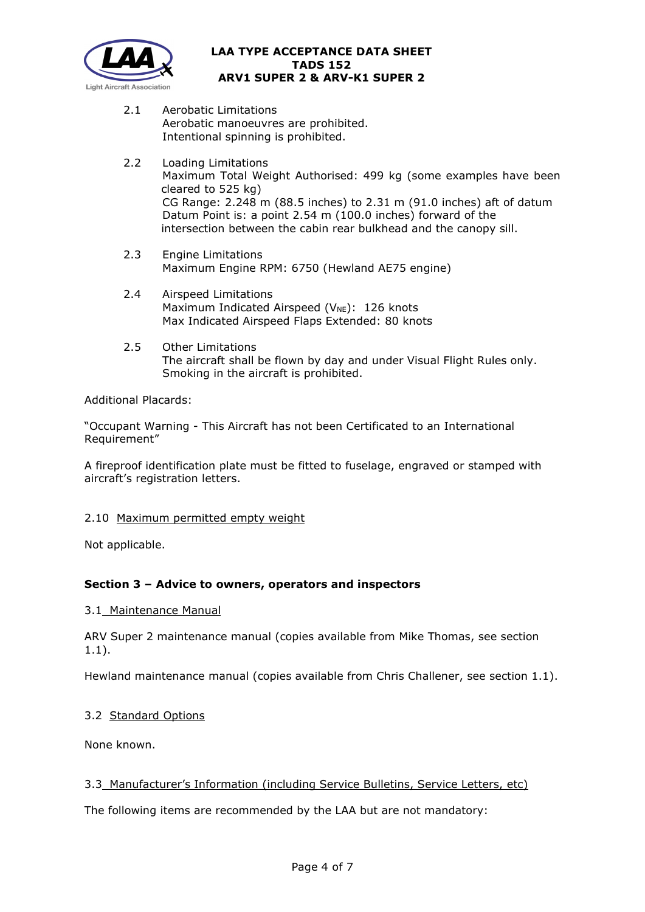

- 2.1 Aerobatic Limitations Aerobatic manoeuvres are prohibited. Intentional spinning is prohibited.
- 2.2 Loading Limitations Maximum Total Weight Authorised: 499 kg (some examples have been cleared to 525 kg) CG Range: 2.248 m (88.5 inches) to 2.31 m (91.0 inches) aft of datum Datum Point is: a point 2.54 m (100.0 inches) forward of the intersection between the cabin rear bulkhead and the canopy sill.
- 2.3 Engine Limitations Maximum Engine RPM: 6750 (Hewland AE75 engine)
- 2.4 Airspeed Limitations Maximum Indicated Airspeed ( $V_{NE}$ ): 126 knots Max Indicated Airspeed Flaps Extended: 80 knots
- 2.5 Other Limitations The aircraft shall be flown by day and under Visual Flight Rules only. Smoking in the aircraft is prohibited.

Additional Placards:

"Occupant Warning - This Aircraft has not been Certificated to an International Requirement"

A fireproof identification plate must be fitted to fuselage, engraved or stamped with aircraft's registration letters.

# 2.10 Maximum permitted empty weight

Not applicable.

# **Section 3 – Advice to owners, operators and inspectors**

## 3.1 Maintenance Manual

ARV Super 2 maintenance manual (copies available from Mike Thomas, see section 1.1).

Hewland maintenance manual (copies available from Chris Challener, see section 1.1).

# 3.2 Standard Options

None known.

## 3.3 Manufacturer's Information (including Service Bulletins, Service Letters, etc)

The following items are recommended by the LAA but are not mandatory: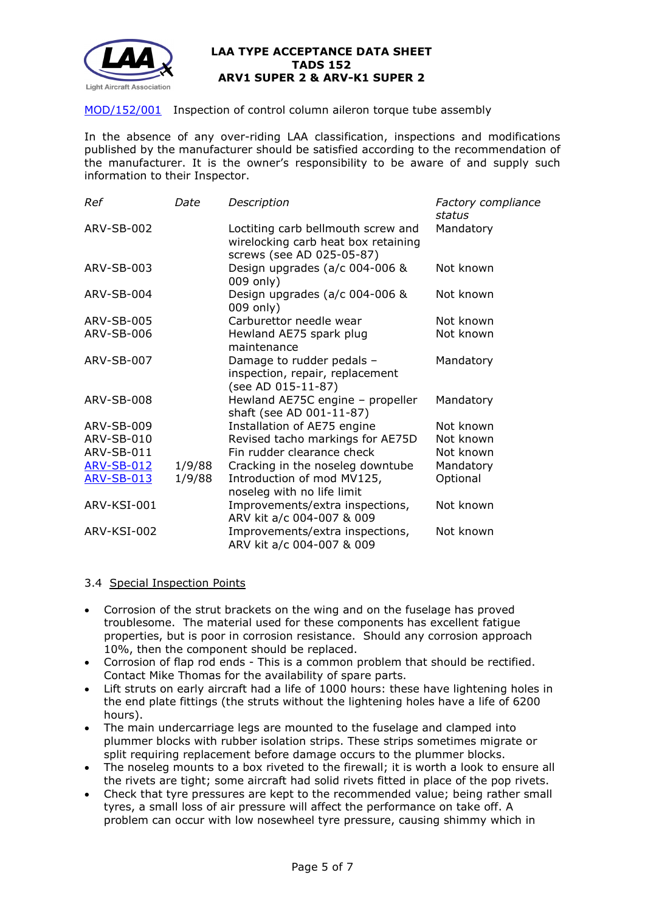

## [MOD/152/001](http://www.lightaircraftassociation.co.uk/engineering/TADs/152/mod-152-001.pdf) Inspection of control column aileron torque tube assembly

In the absence of any over-riding LAA classification, inspections and modifications published by the manufacturer should be satisfied according to the recommendation of the manufacturer. It is the owner's responsibility to be aware of and supply such information to their Inspector.

| Ref               | Date   | Description                                                                                            | Factory compliance<br>status |
|-------------------|--------|--------------------------------------------------------------------------------------------------------|------------------------------|
| <b>ARV-SB-002</b> |        | Loctiting carb bellmouth screw and<br>wirelocking carb heat box retaining<br>screws (see AD 025-05-87) | Mandatory                    |
| ARV-SB-003        |        | Design upgrades (a/c 004-006 &<br>009 only)                                                            | Not known                    |
| ARV-SB-004        |        | Design upgrades (a/c 004-006 &<br>009 only)                                                            | Not known                    |
| ARV-SB-005        |        | Carburettor needle wear                                                                                | Not known                    |
| ARV-SB-006        |        | Hewland AE75 spark plug<br>maintenance                                                                 | Not known                    |
| ARV-SB-007        |        | Damage to rudder pedals -<br>inspection, repair, replacement<br>(see AD 015-11-87)                     | Mandatory                    |
| <b>ARV-SB-008</b> |        | Hewland AE75C engine - propeller<br>shaft (see AD 001-11-87)                                           | Mandatory                    |
| ARV-SB-009        |        | Installation of AE75 engine                                                                            | Not known                    |
| ARV-SB-010        |        | Revised tacho markings for AE75D                                                                       | Not known                    |
| ARV-SB-011        |        | Fin rudder clearance check                                                                             | Not known                    |
| <b>ARV-SB-012</b> | 1/9/88 | Cracking in the noseleg downtube                                                                       | Mandatory                    |
| <b>ARV-SB-013</b> | 1/9/88 | Introduction of mod MV125,<br>noseleg with no life limit                                               | Optional                     |
| ARV-KSI-001       |        | Improvements/extra inspections,<br>ARV kit a/c 004-007 & 009                                           | Not known                    |
| ARV-KSI-002       |        | Improvements/extra inspections,<br>ARV kit a/c 004-007 & 009                                           | Not known                    |

## 3.4 Special Inspection Points

- Corrosion of the strut brackets on the wing and on the fuselage has proved troublesome. The material used for these components has excellent fatigue properties, but is poor in corrosion resistance. Should any corrosion approach 10%, then the component should be replaced.
- Corrosion of flap rod ends This is a common problem that should be rectified. Contact Mike Thomas for the availability of spare parts.
- Lift struts on early aircraft had a life of 1000 hours: these have lightening holes in the end plate fittings (the struts without the lightening holes have a life of 6200 hours).
- The main undercarriage legs are mounted to the fuselage and clamped into plummer blocks with rubber isolation strips. These strips sometimes migrate or split requiring replacement before damage occurs to the plummer blocks.
- The noseleg mounts to a box riveted to the firewall; it is worth a look to ensure all the rivets are tight; some aircraft had solid rivets fitted in place of the pop rivets.
- Check that tyre pressures are kept to the recommended value; being rather small tyres, a small loss of air pressure will affect the performance on take off. A problem can occur with low nosewheel tyre pressure, causing shimmy which in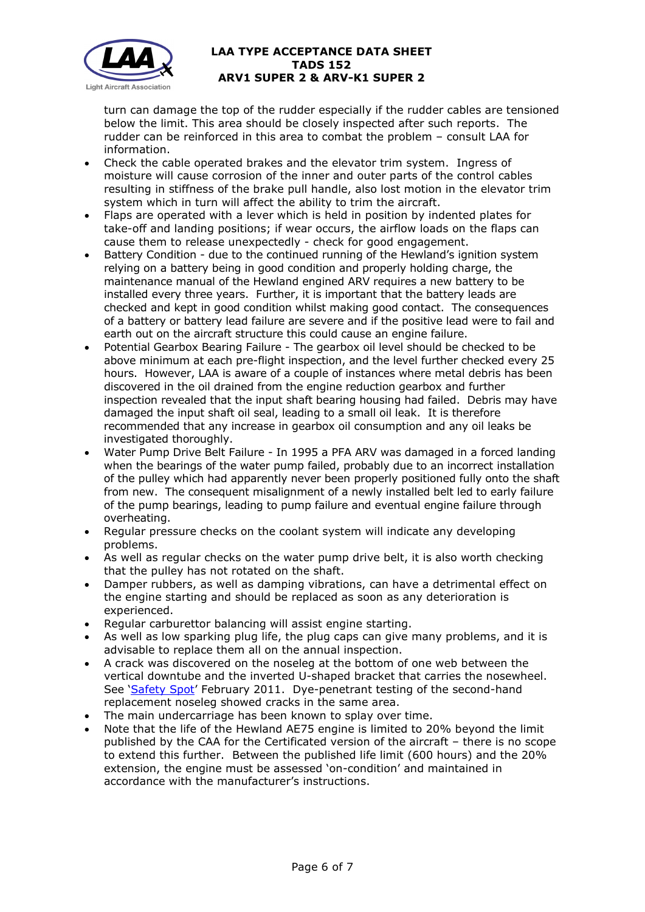

turn can damage the top of the rudder especially if the rudder cables are tensioned below the limit. This area should be closely inspected after such reports. The rudder can be reinforced in this area to combat the problem – consult LAA for information.

- Check the cable operated brakes and the elevator trim system. Ingress of moisture will cause corrosion of the inner and outer parts of the control cables resulting in stiffness of the brake pull handle, also lost motion in the elevator trim system which in turn will affect the ability to trim the aircraft.
- Flaps are operated with a lever which is held in position by indented plates for take-off and landing positions; if wear occurs, the airflow loads on the flaps can cause them to release unexpectedly - check for good engagement.
- Battery Condition due to the continued running of the Hewland's ignition system relying on a battery being in good condition and properly holding charge, the maintenance manual of the Hewland engined ARV requires a new battery to be installed every three years. Further, it is important that the battery leads are checked and kept in good condition whilst making good contact. The consequences of a battery or battery lead failure are severe and if the positive lead were to fail and earth out on the aircraft structure this could cause an engine failure.
- Potential Gearbox Bearing Failure The gearbox oil level should be checked to be above minimum at each pre-flight inspection, and the level further checked every 25 hours. However, LAA is aware of a couple of instances where metal debris has been discovered in the oil drained from the engine reduction gearbox and further inspection revealed that the input shaft bearing housing had failed. Debris may have damaged the input shaft oil seal, leading to a small oil leak. It is therefore recommended that any increase in gearbox oil consumption and any oil leaks be investigated thoroughly.
- Water Pump Drive Belt Failure In 1995 a PFA ARV was damaged in a forced landing when the bearings of the water pump failed, probably due to an incorrect installation of the pulley which had apparently never been properly positioned fully onto the shaft from new. The consequent misalignment of a newly installed belt led to early failure of the pump bearings, leading to pump failure and eventual engine failure through overheating.
- Regular pressure checks on the coolant system will indicate any developing problems.
- As well as regular checks on the water pump drive belt, it is also worth checking that the pulley has not rotated on the shaft.
- Damper rubbers, as well as damping vibrations, can have a detrimental effect on the engine starting and should be replaced as soon as any deterioration is experienced.
- Regular carburettor balancing will assist engine starting.
- As well as low sparking plug life, the plug caps can give many problems, and it is advisable to replace them all on the annual inspection.
- A crack was discovered on the noseleg at the bottom of one web between the vertical downtube and the inverted U-shaped bracket that carries the nosewheel. See ['Safety Spot'](http://www.lightaircraftassociation.co.uk/2010/Magazine/2011/Feb/Safety_Spot.pdf) February 2011. Dye-penetrant testing of the second-hand replacement noseleg showed cracks in the same area.
- The main undercarriage has been known to splay over time.
- Note that the life of the Hewland AE75 engine is limited to 20% beyond the limit published by the CAA for the Certificated version of the aircraft – there is no scope to extend this further. Between the published life limit (600 hours) and the 20% extension, the engine must be assessed 'on-condition' and maintained in accordance with the manufacturer's instructions.